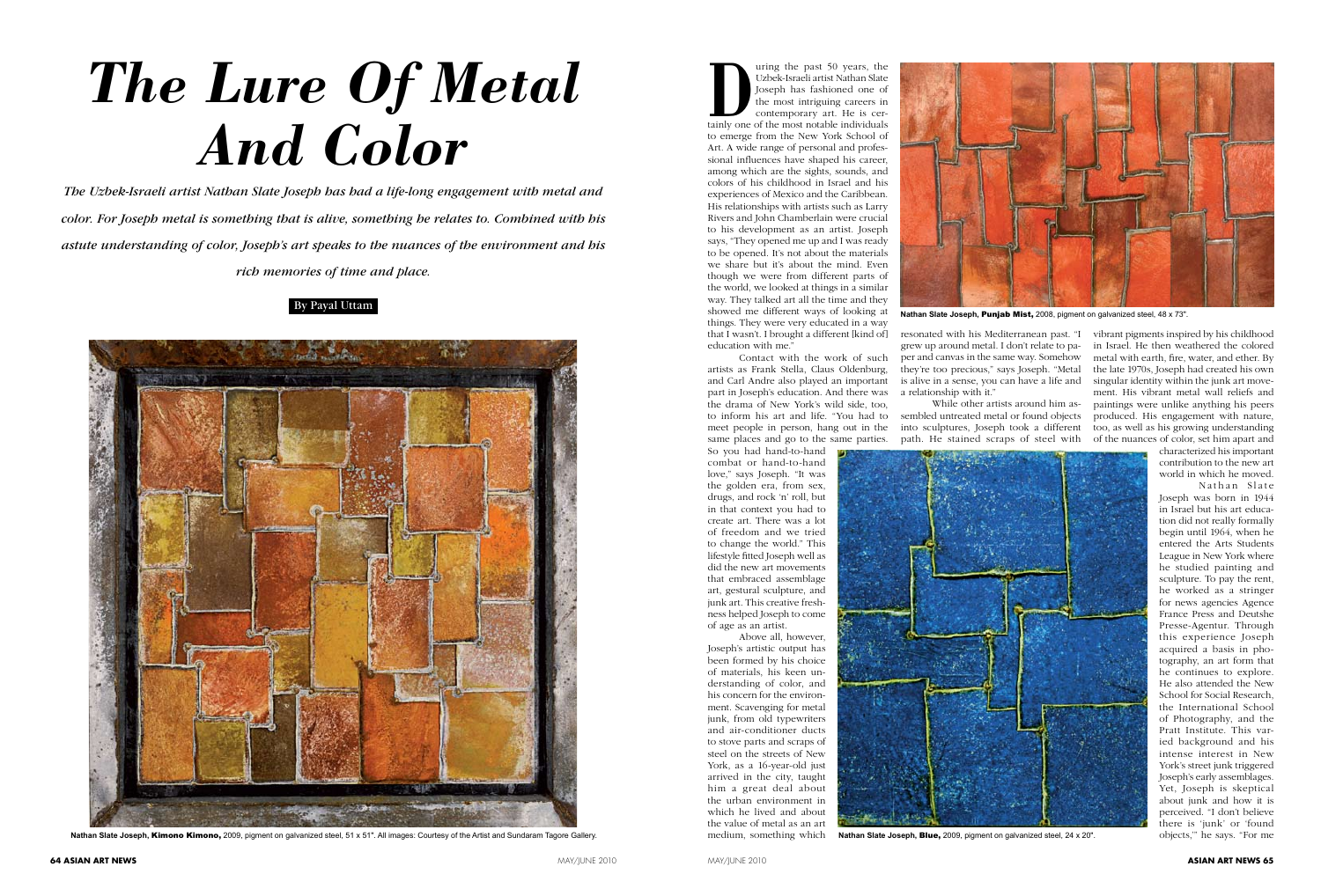## By Payal Uttam



Nathan Slate Joseph, Kimono Kimono, 2009, pigment on galvanized steel, 51 x 51". All images: Courtesy of the Artist and Sundaram Tagore Gallery

Uzbek-Israeli artist Nathan Slate<br>
Joseph has fashioned one of<br>
the most intriguing careers in<br>
contemporary art. He is certainly one of the most notable individuals Uzbek-Israeli artist Nathan Slate Joseph has fashioned one of the most intriguing careers in contemporary art. He is certo emerge from the New York School of Art. A wide range of personal and professional influences have shaped his career, among which are the sights, sounds, and colors of his childhood in Israel and his experiences of Mexico and the Caribbean. His relationships with artists such as Larry Rivers and John Chamberlain were crucial to his development as an artist. Joseph says, "They opened me up and I was ready to be opened. It's not about the materials we share but it's about the mind. Even though we were from different parts of the world, we looked at things in a similar way. They talked art all the time and they showed me different ways of looking at things. They were very educated in a way that I wasn't. I brought a different [kind of] education with me.

*The Uzbek-Israeli artist Nathan Slate Joseph has had a life-long engagement with metal and color. For Joseph metal is something that is alive, something he relates to. Combined with his astute understanding of color, Joseph's art speaks to the nuances of the environment and his rich memories of time and place.*

## *The Lure Of Metal And Color*

## MAY/JUNE 2010 **ASIAN ART NEWS 65**

Contact with the work of such artists as Frank Stella, Claus Oldenburg, and Carl Andre also played an important part in Joseph's education. And there was the drama of New York's wild side, too, to inform his art and life. "You had to meet people in person, hang out in the same places and go to the same parties. So you had hand-to-hand combat or hand-to-hand

love," says Joseph. "It was the golden era, from sex, drugs, and rock 'n' roll, but in that context you had to create art. There was a lot of freedom and we tried to change the world." This lifestyle fitted Joseph well as did the new art movements that embraced assemblage art, gestural sculpture, and junk art. This creative freshness helped Joseph to come of age as an artist.

Above all, however, Joseph's artistic output has been formed by his choice of materials, his keen understanding of color, and his concern for the environment. Scavenging for metal junk, from old typewriters and air-conditioner ducts to stove parts and scraps of steel on the streets of New York, as a 16-year-old just arrived in the city, taught him a great deal about the urban environment in which he lived and about the value of metal as an art medium, something which

vibrant pigments inspired by his childhood in Israel. He then weathered the colored metal with earth, fire, water, and ether. By the late 1970s, Joseph had created his own singular identity within the junk art movement. His vibrant metal wall reliefs and paintings were unlike anything his peers produced. His engagement with nature, too, as well as his growing understanding of the nuances of color, set him apart and

characterized his important contribution to the new art world in which he moved.

Nathan Slate Joseph was born in 1944 in Israel but his art education did not really formally begin until 1964, when he entered the Arts Students League in New York where he studied painting and sculpture. To pay the rent, he worked as a stringer for news agencies Agence France Press and Deutshe Presse-Agentur. Through this experience Joseph acquired a basis in photography, an art form that he continues to explore. He also attended the New School for Social Research, the International School of Photography, and the Pratt Institute. This varied background and his intense interest in New York's street junk triggered Joseph's early assemblages. Yet, Joseph is skeptical about junk and how it is perceived. "I don't believe there is 'junk' or 'found Nathan Slate Joseph, Blue, 2009, pigment on galvanized steel, 24 x 20". **objects**," he says. "For me

resonated with his Mediterranean past. "I grew up around metal. I don't relate to paper and canvas in the same way. Somehow they're too precious," says Joseph. "Metal is alive in a sense, you can have a life and a relationship with it."

While other artists around him as-

sembled untreated metal or found objects into sculptures, Joseph took a different path. He stained scraps of steel with





![](_page_0_Picture_9.jpeg)

**Nathan Slate Joseph,** Punjab Mist, 2008, pigment on galvanized steel, 48 x 73".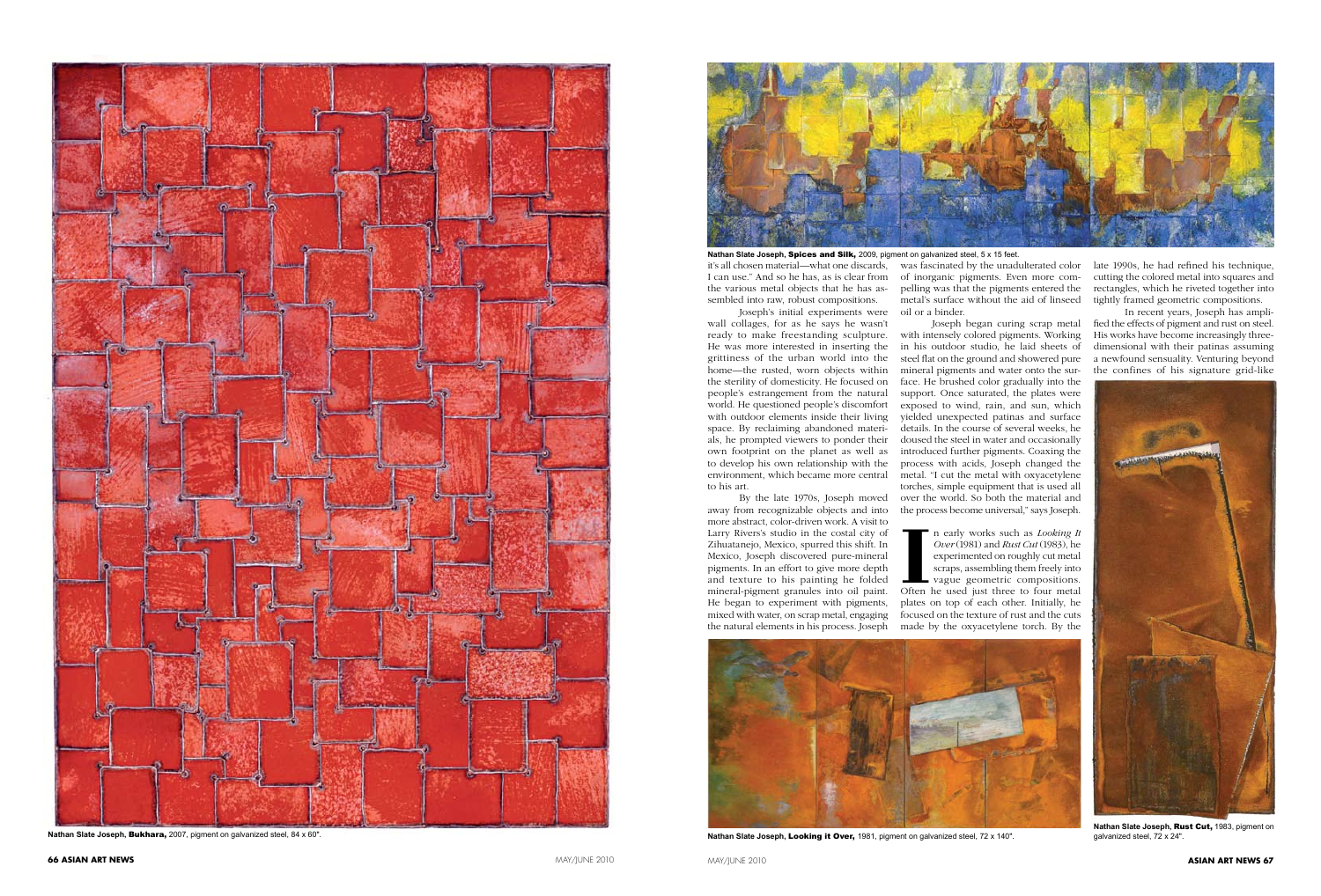![](_page_1_Picture_3.jpeg)

![](_page_1_Picture_4.jpeg)

![](_page_1_Picture_0.jpeg)

**Nathan Slate Joseph,** Bukhara, 2007, pigment on galvanized steel, 84 x 60".

Joseph's initial experiments were oil or a binder. wall collages, for as he says he wasn't ready to make freestanding sculpture. He was more interested in inserting the grittiness of the urban world into the home—the rusted, worn objects within the sterility of domesticity. He focused on people's estrangement from the natural world. He questioned people's discomfort with outdoor elements inside their living space. By reclaiming abandoned materials, he prompted viewers to ponder their own footprint on the planet as well as to develop his own relationship with the environment, which became more central to his art.

By the late 1970s, Joseph moved away from recognizable objects and into more abstract, color-driven work. A visit to Larry Rivers's studio in the costal city of Zihuatanejo, Mexico, spurred this shift. In Mexico, Joseph discovered pure-mineral pigments. In an effort to give more depth and texture to his painting he folded mineral-pigment granules into oil paint. He began to experiment with pigments, mixed with water, on scrap metal, engaging the natural elements in his process. Joseph

II n early works such as *Looking It*<br>
Over (1981) and *Rust Cut* (1983), he<br>
experimented on roughly cut metal<br>
scraps, assembling them freely into<br>
vague geometric compositions.<br>
Often he used just three to four metal n early works such as *Looking It Over* (1981) and *Rust Cut* (1983), he experimented on roughly cut metal scraps, assembling them freely into vague geometric compositions. plates on top of each other. Initially, he focused on the texture of rust and the cuts made by the oxyacetylene torch. By the

![](_page_1_Picture_11.jpeg)

Nathan Slate Joseph, Looking it Over, 1981, pigment on galvanized steel, 72 x 140".

late 1990s, he had refined his technique, rectangles, which he riveted together into tightly framed geometric compositions.

pelling was that the pigments entered the metal's surface without the aid of linseed

it's all chosen material—what one discards, was fascinated by the unadulterated color I can use." And so he has, as is clear from of inorganic pigments. Even more com- cutting the colored metal into squares and the various metal objects that he has assembled into raw, robust compositions. **Nathan Slate Joseph,** Spices and Silk, 2009, pigment on galvanized steel, 5 x 15 feet.

> Joseph began curing scrap metal with intensely colored pigments. Working in his outdoor studio, he laid sheets of steel flat on the ground and showered pure mineral pigments and water onto the surface. He brushed color gradually into the support. Once saturated, the plates were exposed to wind, rain, and sun, which yielded unexpected patinas and surface details. In the course of several weeks, he doused the steel in water and occasionally introduced further pigments. Coaxing the process with acids, Joseph changed the metal. "I cut the metal with oxyacetylene torches, simple equipment that is used all over the world. So both the material and the process become universal," says Joseph.

In recent years, Joseph has amplified the effects of pigment and rust on steel. His works have become increasingly threedimensional with their patinas assuming a newfound sensuality. Venturing beyond the confines of his signature grid-like

![](_page_1_Picture_18.jpeg)

**Nathan Slate Joseph,** Rust Cut, 1983, pigment on galvanized steel, 72 x 24".